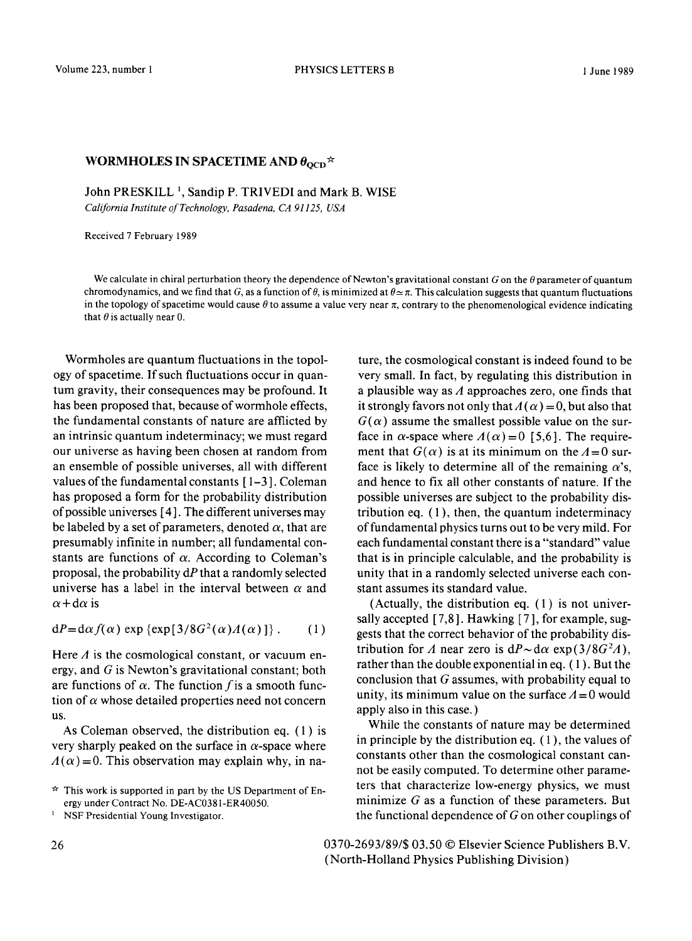## WORMHOLES IN SPACETIME AND  $\theta_{\rm{OCD}} \star$

John PRESKILL<sup>1</sup>, Sandip P. TRIVEDI and Mark B. WISE

*California Institute of Technology, Pasadena, CA 91125, USA* 

Received 7 February 1989

We calculate in chiral perturbation theory the dependence of Newton's gravitational constant G on the  $\theta$  parameter of quantum chromodynamics, and we find that G, as a function of  $\theta$ , is minimized at  $\theta \approx \pi$ . This calculation suggests that quantum fluctuations in the topology of spacetime would cause  $\theta$  to assume a value very near  $\pi$ , contrary to the phenomenological evidence indicating that  $\theta$  is actually near 0.

Wormholes are quantum fluctuations in the topology of spacetime. If such fluctuations occur in quantum gravity, their consequences may be profound. It has been proposed that, because of wormhole effects, the fundamental constants of nature are afflicted by an intrinsic quantum indeterminacy; we must regard our universe as having been chosen at random from an ensemble of possible universes, all with different values of the fundamental constants  $[1-3]$ . Coleman has proposed a form for the probability distribution of possible universes [ 4 ]. The different universes may be labeled by a set of parameters, denoted  $\alpha$ , that are presumably infinite in number; all fundamental constants are functions of  $\alpha$ . According to Coleman's proposal, the probability dP that a randomly selected universe has a label in the interval between  $\alpha$  and  $\alpha + d\alpha$  is

$$
dP = d\alpha f(\alpha) \exp \{ \exp[3/8G^2(\alpha) \Lambda(\alpha)] \}.
$$
 (1)

Here  $\Lambda$  is the cosmological constant, or vacuum energy, and G is Newton's gravitational constant; both are functions of  $\alpha$ . The function f is a smooth function of  $\alpha$  whose detailed properties need not concern US.

As Coleman observed, the distribution eq. ( 1 ) is very sharply peaked on the surface in  $\alpha$ -space where  $A(\alpha) = 0$ . This observation may explain why, in na-

ture, the cosmological constant is indeed found to be very small. In fact, by regulating this distribution in a plausible way as  $\Lambda$  approaches zero, one finds that it strongly favors not only that  $A(\alpha) = 0$ , but also that  $G(\alpha)$  assume the smallest possible value on the surface in  $\alpha$ -space where  $A(\alpha) = 0$  [5,6]. The requirement that  $G(\alpha)$  is at its minimum on the  $A=0$  surface is likely to determine all of the remaining  $\alpha$ 's, and hence to fix all other constants of nature. If the possible universes are subject to the probability distribution eq.  $(1)$ , then, the quantum indeterminacy of fundamental physics turns out to be very mild. For each fundamental constant there is a "standard" value that is in principle calculable, and the probability is unity that in a randomly selected universe each constant assumes its standard value.

(Actually, the distribution eq. (1) is not universally accepted [7,8]. Hawking [7], for example, suggests that the correct behavior of the probability distribution for A near zero is  $dP \sim d\alpha$  exp(3/8G<sup>2</sup>A), rather than the double exponential in eq. ( 1 ). But the conclusion that G assumes, with probability equal to unity, its minimum value on the surface  $A = 0$  would apply also in this case. )

While the constants of nature may be determined in principle by the distribution eq. ( 1 ), the values of constants other than the cosmological constant cannot be easily computed. To determine other parameters that characterize low-energy physics, we must minimize  $G$  as a function of these parameters. But the functional dependence of G on other couplings of

26 0370-2693/89/\$ 03.50 © Elsevier Science Publishers B.V. (North-Holland Physics Publishing Division)

 $\star$  This work is supported in part by the US Department of Energy under Contract No. DE-AC0381-ER40050.

NSF Presidential Young Investigator.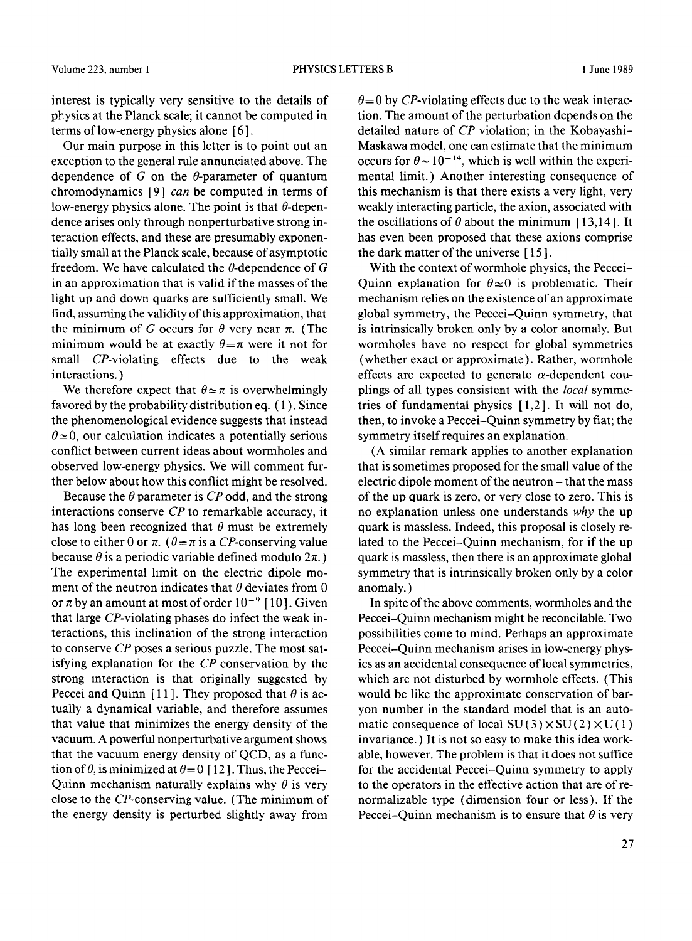interest is typically very sensitive to the details of physics at the Planck scale; it cannot be computed in terms of low-energy physics alone [ 6 ].

Our main purpose in this letter is to point out an exception to the general rule annunciated above. The dependence of  $G$  on the  $\theta$ -parameter of quantum chromodynamics [9] *can* be computed in terms of low-energy physics alone. The point is that  $\theta$ -dependence arises only through nonperturbative strong interaction effects, and these are presumably exponentially small at the Planck scale, because of asymptotic freedom. We have calculated the  $\theta$ -dependence of G in an approximation that is valid if the masses of the light up and down quarks are sufficiently small. We find, assuming the validity of this approximation, that the minimum of G occurs for  $\theta$  very near  $\pi$ . (The minimum would be at exactly  $\theta = \pi$  were it not for small CP-violating effects due to the weak interactions. )

We therefore expect that  $\theta \approx \pi$  is overwhelmingly favored by the probability distribution eq. ( 1 ). Since the phenomenological evidence suggests that instead  $\theta \approx 0$ , our calculation indicates a potentially serious conflict between current ideas about wormholes and observed low-energy physics. We will comment further below about how this conflict might be resolved.

Because the  $\theta$  parameter is  $CP$  odd, and the strong interactions conserve *CP* to remarkable accuracy, it has long been recognized that  $\theta$  must be extremely close to either 0 or  $\pi$ . ( $\theta = \pi$  is a CP-conserving value because  $\theta$  is a periodic variable defined modulo  $2\pi$ .) The experimental limit on the electric dipole moment of the neutron indicates that  $\theta$  deviates from 0 or  $\pi$  by an amount at most of order  $10^{-9}$  [10]. Given that large CP-violating phases do infect the weak interactions, this inclination of the strong interaction to conserve *CP* poses a serious puzzle. The most satisfying explanation for the *CP* conservation by the strong interaction is that originally suggested by Peccei and Quinn [11]. They proposed that  $\theta$  is actually a dynamical variable, and therefore assumes that value that minimizes the energy density of the vacuum. A powerful nonperturbative argument shows that the vacuum energy density of QCD, as a function of  $\theta$ , is minimized at  $\theta = 0$  [12]. Thus, the Peccei-Quinn mechanism naturally explains why  $\theta$  is very close to the CP-conserving value. (The minimum of the energy density is perturbed slightly away from

 $\theta = 0$  by CP-violating effects due to the weak interaction. The amount of the perturbation depends on the detailed nature of *CP* violation; in the Kobayashi-Maskawa model, one can estimate that the minimum occurs for  $\theta \sim 10^{-14}$ , which is well within the experimental limit.) Another interesting consequence of this mechanism is that there exists a very light, very weakly interacting particle, the axion, associated with the oscillations of  $\theta$  about the minimum [13,14]. It has even been proposed that these axions comprise the dark matter of the universe [ 15 ].

With the context of wormhole physics, the Peccei-Quinn explanation for  $\theta \approx 0$  is problematic. Their mechanism relies on the existence of an approximate global symmetry, the Peccei-Quinn symmetry, that is intrinsically broken only by a color anomaly. But wormholes have no respect for global symmetries (whether exact or approximate). Rather, wormhole effects are expected to generate  $\alpha$ -dependent couplings of all types consistent with the *local* symmetries of fundamental physics [1,2]. It will not do, then, to invoke a Peccei-Quinn symmetry by fiat; the symmetry itself requires an explanation.

(A similar remark applies to another explanation that is sometimes proposed for the small value of the electric dipole moment of the neutron - that the mass of the up quark is zero, or very close to zero. This is no explanation unless one understands *why* the up quark is massless. Indeed, this proposal is closely related to the Peccei-Quinn mechanism, for if the up quark is massless, then there is an approximate global symmetry that is intrinsically broken only by a color anomaly. )

In spite of the above comments, wormholes and the Peccei-Quinn mechanism might be reconcilable. Two possibilities come to mind. Perhaps an approximate Peccei-Quinn mechanism arises in low-energy physics as an accidental consequence of local symmetries, which are not disturbed by wormhole effects. (This would be like the approximate conservation of baryon number in the standard model that is an automatic consequence of local  $SU(3) \times SU(2) \times U(1)$ invariance. ) It is not so easy to make this idea workable, however. The problem is that it does not suffice for the accidental Peccei-Quinn symmetry to apply to the operators in the effective action that are of renormalizable type (dimension four or less). If the Peccei-Quinn mechanism is to ensure that  $\theta$  is very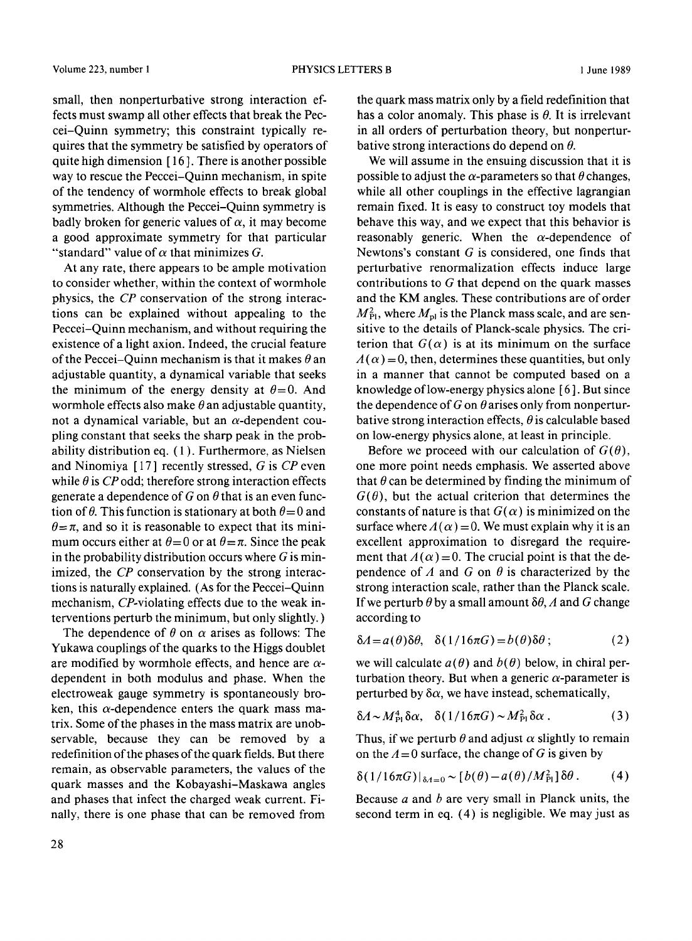small, then nonperturbative strong interaction effects must swamp all other effects that break the Peccei-Quinn symmetry; this constraint typically requires that the symmetry be satisfied by operators of quite high dimension [ 16 ]. There is another possible way to rescue the Peccei-Quinn mechanism, in spite of the tendency of wormhole effects to break global symmetries. Although the Peccei-Quinn symmetry is badly broken for generic values of  $\alpha$ , it may become a good approximate symmetry for that particular "standard" value of  $\alpha$  that minimizes G.

At any rate, there appears to be ample motivation to consider whether, within the context of wormhole physics, the *CP* conservation of the strong interactions can be explained without appealing to the Peccei-Quinn mechanism, and without requiring the existence of a light axion. Indeed, the crucial feature of the Peccei-Quinn mechanism is that it makes  $\theta$  an adjustable quantity, a dynamical variable that seeks the minimum of the energy density at  $\theta = 0$ . And wormhole effects also make  $\theta$  an adjustable quantity, not a dynamical variable, but an  $\alpha$ -dependent coupling constant that seeks the sharp peak in the probability distribution eq. ( 1 ). Furthermore, as Nielsen and Ninomiya [ 17 ] recently stressed, G is *CP* even while  $\theta$  is *CP* odd; therefore strong interaction effects generate a dependence of G on  $\theta$  that is an even function of  $\theta$ . This function is stationary at both  $\theta = 0$  and  $\theta = \pi$ , and so it is reasonable to expect that its minimum occurs either at  $\theta = 0$  or at  $\theta = \pi$ . Since the peak in the probability distribution occurs where  $G$  is minimized, the *CP* conservation by the strong interactions is naturally explained. (As for the Peccei-Quinn mechanism, CP-violating effects due to the weak interventions perturb the minimum, but only slightly. )

The dependence of  $\theta$  on  $\alpha$  arises as follows: The Yukawa couplings of the quarks to the Higgs doublet are modified by wormhole effects, and hence are  $\alpha$ dependent in both modulus and phase. When the electroweak gauge symmetry is spontaneously broken, this  $\alpha$ -dependence enters the quark mass matrix. Some of the phases in the mass matrix are unobservable, because they can be removed by a redefinition of the phases of the quark fields. But there remain, as observable parameters, the values of the quark masses and the Kobayashi-Maskawa angles and phases that infect the charged weak current. Finally, there is one phase that can be removed from

the quark mass matrix only by a field redefinition that has a color anomaly. This phase is  $\theta$ . It is irrelevant in all orders of perturbation theory, but nonperturbative strong interactions do depend on  $\theta$ .

We will assume in the ensuing discussion that it is possible to adjust the  $\alpha$ -parameters so that  $\theta$  changes, while all other couplings in the effective lagrangian remain fixed. It is easy to construct toy models that behave this way, and we expect that this behavior is reasonably generic. When the  $\alpha$ -dependence of Newtons's constant  $G$  is considered, one finds that perturbative renormalization effects induce large contributions to G that depend on the quark masses and the KM angles. These contributions are of order  $M_{\rm Pl}^2$ , where  $M_{\rm pl}$  is the Planck mass scale, and are sensitive to the details of Planck-scale physics. The criterion that  $G(\alpha)$  is at its minimum on the surface  $A(\alpha) = 0$ , then, determines these quantities, but only in a manner that cannot be computed based on a knowledge of low-energy physics alone [ 6 ]. But since the dependence of G on  $\theta$  arises only from nonperturbative strong interaction effects,  $\theta$  is calculable based on low-energy physics alone, at least in principle.

Before we proceed with our calculation of  $G(\theta)$ , one more point needs emphasis. We asserted above that  $\theta$  can be determined by finding the minimum of  $G(\theta)$ , but the actual criterion that determines the constants of nature is that  $G(\alpha)$  is minimized on the surface where  $A(\alpha) = 0$ . We must explain why it is an excellent approximation to disregard the requirement that  $A(\alpha) = 0$ . The crucial point is that the dependence of A and G on  $\theta$  is characterized by the strong interaction scale, rather than the Planck scale. If we perturb  $\theta$  by a small amount  $\delta\theta$ , A and G change according to

$$
\delta A = a(\theta)\delta\theta, \quad \delta(1/16\pi G) = b(\theta)\delta\theta \tag{2}
$$

we will calculate  $a(\theta)$  and  $b(\theta)$  below, in chiral perturbation theory. But when a generic  $\alpha$ -parameter is perturbed by  $\delta \alpha$ , we have instead, schematically,

$$
\delta A \sim M_{\rm Pl}^4 \delta \alpha, \quad \delta (1/16\pi G) \sim M_{\rm Pl}^2 \delta \alpha \ . \tag{3}
$$

Thus, if we perturb  $\theta$  and adjust  $\alpha$  slightly to remain on the  $A = 0$  surface, the change of G is given by

$$
\delta(1/16\pi G)|_{\delta A=0} \sim [b(\theta)-a(\theta)/M_{\rm Pl}^2]\delta\theta. \qquad (4)
$$

Because  $a$  and  $b$  are very small in Planck units, the second term in eq. (4) is negligible. We may just as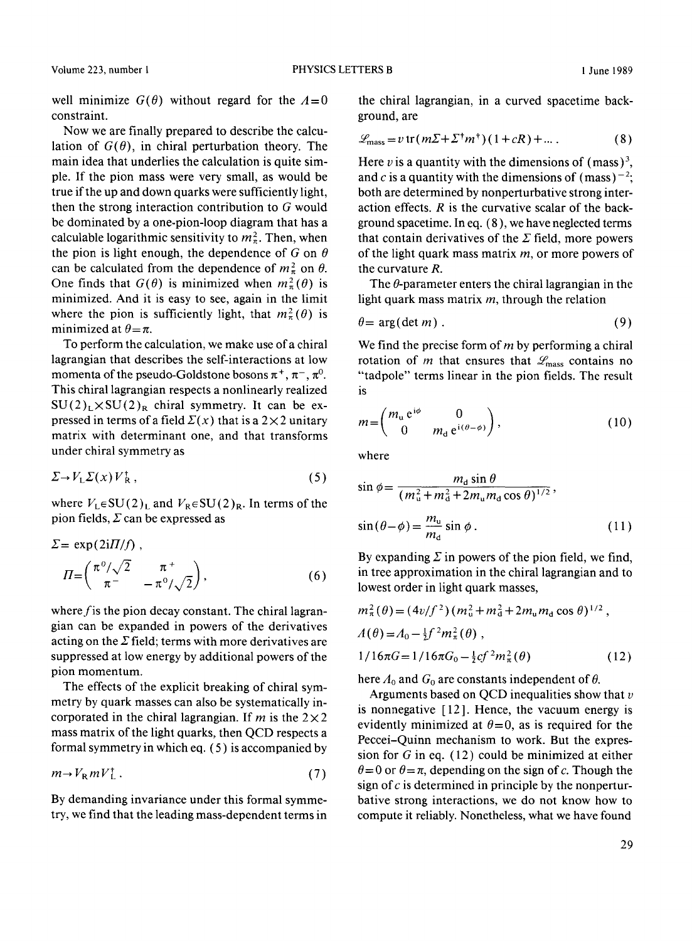well minimize  $G(\theta)$  without regard for the  $A=0$ constraint.

Now we are finally prepared to describe the calculation of  $G(\theta)$ , in chiral perturbation theory. The main idea that underlies the calculation is quite simple. If the pion mass were very small, as would be true if the up and down quarks were sufficiently light, then the strong interaction contribution to G would be dominated by a one-pion-loop diagram that has a calculable logarithmic sensitivity to  $m_{\pi}^2$ . Then, when the pion is light enough, the dependence of G on  $\theta$ can be calculated from the dependence of  $m_\pi^2$  on  $\theta$ . One finds that  $G(\theta)$  is minimized when  $m_{\pi}^2(\theta)$  is minimized. And it is easy to see, again in the limit where the pion is sufficiently light, that  $m_{\pi}^{2}(\theta)$  is minimized at  $\theta = \pi$ .

To perform the calculation, we make use of a chiral lagrangian that describes the self-interactions at low momenta of the pseudo-Goldstone bosons  $\pi^+$ ,  $\pi^-$ ,  $\pi^0$ . This chiral lagrangian respects a nonlinearly realized  $SU(2)_L \times SU(2)_R$  chiral symmetry. It can be expressed in terms of a field  $\Sigma(x)$  that is a  $2 \times 2$  unitary matrix with determinant one, and that transforms under chiral symmetry as

$$
\Sigma \to V_L \Sigma(x) V_R^+, \tag{5}
$$

where  $V_L \in SU(2)_L$  and  $V_R \in SU(2)_R$ . In terms of the pion fields,  $\Sigma$  can be expressed as

$$
\Sigma = \exp(2iH/f) ,
$$
  
\n
$$
\Pi = \begin{pmatrix} \pi^0/\sqrt{2} & \pi^+ \\ \pi^- & -\pi^0/\sqrt{2} \end{pmatrix},
$$
\n(6)

where  $f$  is the pion decay constant. The chiral lagrangian can be expanded in powers of the derivatives acting on the  $\Sigma$  field; terms with more derivatives are suppressed at low energy by additional powers of the pion momentum.

The effects of the explicit breaking of chiral symmetry by quark masses can also be systematically incorporated in the chiral lagrangian. If m is the  $2 \times 2$ mass matrix of the light quarks, then QCD respects a formal symmetry in which eq. ( 5 ) is accompanied by

$$
m \to V_R m V_L^{\dagger} \tag{7}
$$

By demanding invariance under this formal symmetry, we find that the leading mass-dependent terms in the chiral lagrangian, in a curved spacetime background, are

$$
\mathcal{L}_{\text{mass}} = v \operatorname{tr} (m \Sigma + \Sigma^{\dagger} m^{\dagger}) (1 + cR) + \dots \tag{8}
$$

Here v is a quantity with the dimensions of (mass)<sup>3</sup>, and c is a quantity with the dimensions of (mass)<sup>-2</sup>; both are determined by nonperturbative strong interaction effects.  $R$  is the curvative scalar of the background spacetime. In eq. (8), we have neglected terms that contain derivatives of the  $\Sigma$  field, more powers of the light quark mass matrix  $m$ , or more powers of the curvature R.

The  $\theta$ -parameter enters the chiral lagrangian in the light quark mass matrix  $m$ , through the relation

$$
\theta = \arg(\det m) \tag{9}
$$

We find the precise form of  $m$  by performing a chiral rotation of m that ensures that  $\mathcal{L}_{\text{mass}}$  contains no "tadpole" terms linear in the pion fields. The result **is** 

$$
m = \begin{pmatrix} m_{\rm u} e^{i\phi} & 0 \\ 0 & m_{\rm d} e^{i(\theta - \phi)} \end{pmatrix},\tag{10}
$$

where

$$
\sin \phi = \frac{m_{\rm d} \sin \theta}{(m_{\rm u}^2 + m_{\rm d}^2 + 2m_{\rm u}m_{\rm d} \cos \theta)^{1/2}},
$$
  

$$
\sin(\theta - \phi) = \frac{m_{\rm u}}{m_{\rm d}} \sin \phi.
$$
 (11)

By expanding  $\Sigma$  in powers of the pion field, we find, in tree approximation in the chiral lagrangian and to lowest order in light quark masses,

$$
m_{\pi}^{2}(\theta) = (4v/f^{2})(m_{u}^{2} + m_{d}^{2} + 2m_{u}m_{d}\cos\theta)^{1/2},
$$
  
\n
$$
A(\theta) = A_{0} - \frac{1}{2}f^{2}m_{\pi}^{2}(\theta),
$$
  
\n
$$
1/16\pi G = 1/16\pi G_{0} - \frac{1}{2}cf^{2}m_{\pi}^{2}(\theta)
$$
 (12)

here  $A_0$  and  $G_0$  are constants independent of  $\theta$ .

Arguments based on QCD inequalities show that  $v$ is nonnegative [12]. Hence, the vacuum energy is evidently minimized at  $\theta = 0$ , as is required for the Peccei-Quinn mechanism to work. But the expression for  $G$  in eq. (12) could be minimized at either  $\theta = 0$  or  $\theta = \pi$ , depending on the sign of c. Though the sign of  $c$  is determined in principle by the nonperturbative strong interactions, we do not know how to compute it reliably. Nonetheless, what we have found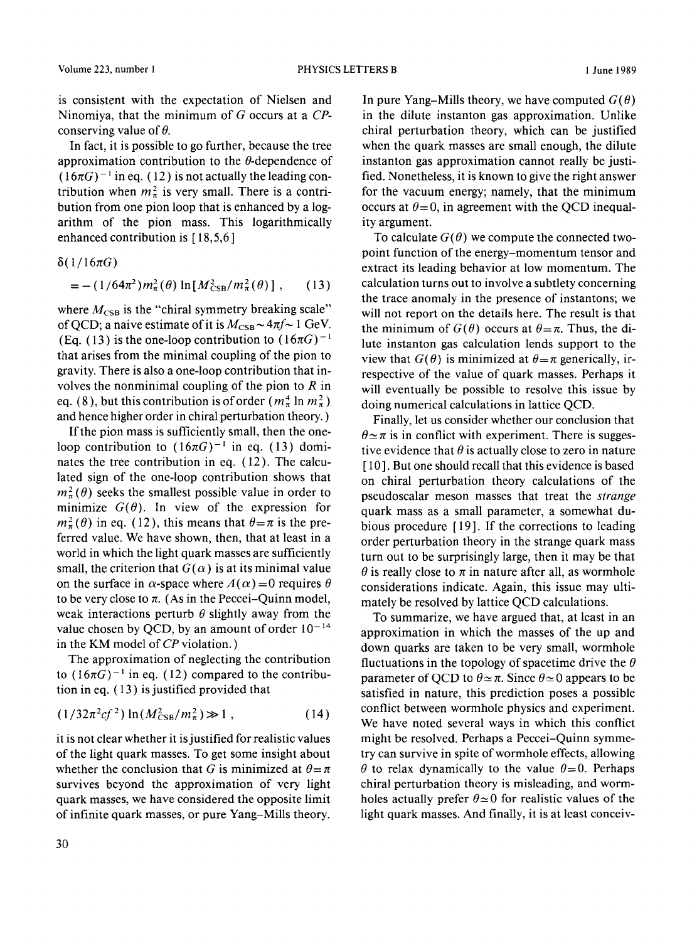is consistent with the expectation of Nielsen and Ninomiya, that the minimum of G occurs at a *CP*conserving value of  $\theta$ .

In fact, it is possible to go further, because the tree approximation contribution to the  $\theta$ -dependence of  $(16\pi G)^{-1}$  in eq. (12) is not actually the leading contribution when  $m_{\pi}^2$  is very small. There is a contribution from one pion loop that is enhanced by a logarithm of the pion mass. This logarithmically enhanced contribution is [18,5,6]

 $\delta(1/16\pi G)$ 

$$
= - (1/64\pi^2) m_{\pi}^2(\theta) \ln[M_{\text{CSB}}^2/m_{\pi}^2(\theta)], \qquad (13)
$$

where  $M_{\text{CSB}}$  is the "chiral symmetry breaking scale" of QCD; a naive estimate of it is  $M_{\text{CSB}} \sim 4\pi f \sim 1$  GeV. (Eq. (13) is the one-loop contribution to  $(16\pi G)^{-1}$ that arises from the minimal coupling of the pion to gravity. There is also a one-loop contribution that involves the nonminimal coupling of the pion to  $R$  in eq. (8), but this contribution is of order  $(m_\pi^4 \ln m_\pi^2)$ and hence higher order in chiral perturbation theory. )

If the pion mass is sufficiently small, then the oneloop contribution to  $(16\pi G)^{-1}$  in eq. (13) dominates the tree contribution in eq. (12). The calculated sign of the one-loop contribution shows that  $m_{\pi}^{2}(\theta)$  seeks the smallest possible value in order to minimize  $G(\theta)$ . In view of the expression for  $m_{\pi}^{2}(\theta)$  in eq. (12), this means that  $\theta = \pi$  is the preferred value. We have shown, then, that at least in a world in which the light quark masses are sufficiently small, the criterion that  $G(\alpha)$  is at its minimal value on the surface in  $\alpha$ -space where  $A(\alpha)=0$  requires  $\theta$ to be very close to  $\pi$ . (As in the Peccei-Quinn model, weak interactions perturb  $\theta$  slightly away from the value chosen by QCD, by an amount of order  $10^{-14}$ in the KM model of *CP* violation. )

The approximation of neglecting the contribution to  $(16\pi G)^{-1}$  in eq. (12) compared to the contribution in eq. ( 13 ) is justified provided that

$$
(1/32\pi^2cf^2)\ln(M_{\text{CSB}}^2/m_{\pi}^2) \gg 1\,,\tag{14}
$$

it is not clear whether it is justified for realistic values of the light quark masses. To get some insight about whether the conclusion that G is minimized at  $\theta = \pi$ survives beyond the approximation of very light quark masses, we have considered the opposite limit of infinite quark masses, or pure Yang-Mills theory.

In pure Yang–Mills theory, we have computed  $G(\theta)$ in the dilute instanton gas approximation. Unlike chiral perturbation theory, which can be justified when the quark masses are small enough, the dilute instanton gas approximation cannot really be justified. Nonetheless, it is known to give the right answer for the vacuum energy; namely, that the minimum occurs at  $\theta = 0$ , in agreement with the QCD inequality argument.

To calculate  $G(\theta)$  we compute the connected twopoint function of the energy-momentum tensor and extract its leading behavior at low momentum. The calculation turns out to involve a subtlety concerning the trace anomaly in the presence of instantons; we will not report on the details here. The result is that the minimum of  $G(\theta)$  occurs at  $\theta = \pi$ . Thus, the dilute instanton gas calculation lends support to the view that  $G(\theta)$  is minimized at  $\theta = \pi$  generically, irrespective of the value of quark masses. Perhaps it will eventually be possible to resolve this issue by doing numerical calculations in lattice QCD.

Finally, let us consider whether our conclusion that  $\theta \approx \pi$  is in conflict with experiment. There is suggestive evidence that  $\theta$  is actually close to zero in nature [10]. But one should recall that this evidence is based on chiral perturbation theory calculations of the pseudoscalar meson masses that treat the *strange*  quark mass as a small parameter, a somewhat dubious procedure [ 19]. If the corrections to leading order perturbation theory in the strange quark mass turn out to be surprisingly large, then it may be that  $\theta$  is really close to  $\pi$  in nature after all, as wormhole considerations indicate. Again, this issue may ultimately be resolved by lattice QCD calculations.

To summarize, we have argued that, at least in an approximation in which the masses of the up and down quarks are taken to be very small, wormhole fluctuations in the topology of spacetime drive the  $\theta$ parameter of QCD to  $\theta \approx \pi$ . Since  $\theta \approx 0$  appears to be satisfied in nature, this prediction poses a possible conflict between wormhole physics and experiment. We have noted several ways in which this conflict might be resolved. Perhaps a Peccei-Quinn symmetry can survive in spite of wormhole effects, allowing  $\theta$  to relax dynamically to the value  $\theta = 0$ . Perhaps chiral perturbation theory is misleading, and wormholes actually prefer  $\theta \approx 0$  for realistic values of the light quark masses. And finally, it is at least conceiv